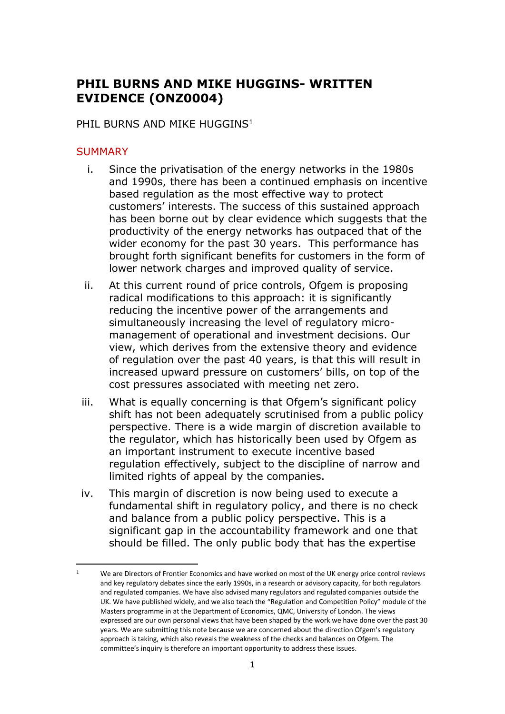# **PHIL BURNS AND MIKE HUGGINS- WRITTEN EVIDENCE (ONZ0004)**

### PHIL BURNS AND MIKE HUGGINS<sup>1</sup>

#### **SUMMARY**

- i. Since the privatisation of the energy networks in the 1980s and 1990s, there has been a continued emphasis on incentive based regulation as the most effective way to protect customers' interests. The success of this sustained approach has been borne out by clear evidence which suggests that the productivity of the energy networks has outpaced that of the wider economy for the past 30 years. This performance has brought forth significant benefits for customers in the form of lower network charges and improved quality of service.
- ii. At this current round of price controls, Ofgem is proposing radical modifications to this approach: it is significantly reducing the incentive power of the arrangements and simultaneously increasing the level of regulatory micromanagement of operational and investment decisions. Our view, which derives from the extensive theory and evidence of regulation over the past 40 years, is that this will result in increased upward pressure on customers' bills, on top of the cost pressures associated with meeting net zero.
- iii. What is equally concerning is that Ofgem's significant policy shift has not been adequately scrutinised from a public policy perspective. There is a wide margin of discretion available to the regulator, which has historically been used by Ofgem as an important instrument to execute incentive based regulation effectively, subject to the discipline of narrow and limited rights of appeal by the companies.
- iv. This margin of discretion is now being used to execute a fundamental shift in regulatory policy, and there is no check and balance from a public policy perspective. This is a significant gap in the accountability framework and one that should be filled. The only public body that has the expertise

<sup>1</sup> We are Directors of Frontier Economics and have worked on most of the UK energy price control reviews and key regulatory debates since the early 1990s, in a research or advisory capacity, for both regulators and regulated companies. We have also advised many regulators and regulated companies outside the UK. We have published widely, and we also teach the "Regulation and Competition Policy" module of the Masters programme in at the Department of Economics, QMC, University of London. The views expressed are our own personal views that have been shaped by the work we have done over the past 30 years. We are submitting this note because we are concerned about the direction Ofgem's regulatory approach is taking, which also reveals the weakness of the checks and balances on Ofgem. The committee's inquiry is therefore an important opportunity to address these issues.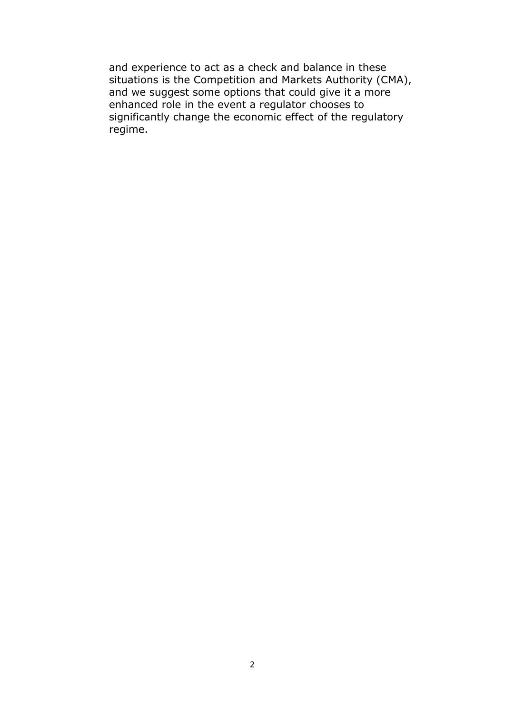and experience to act as a check and balance in these situations is the Competition and Markets Authority (CMA), and we suggest some options that could give it a more enhanced role in the event a regulator chooses to significantly change the economic effect of the regulatory regime.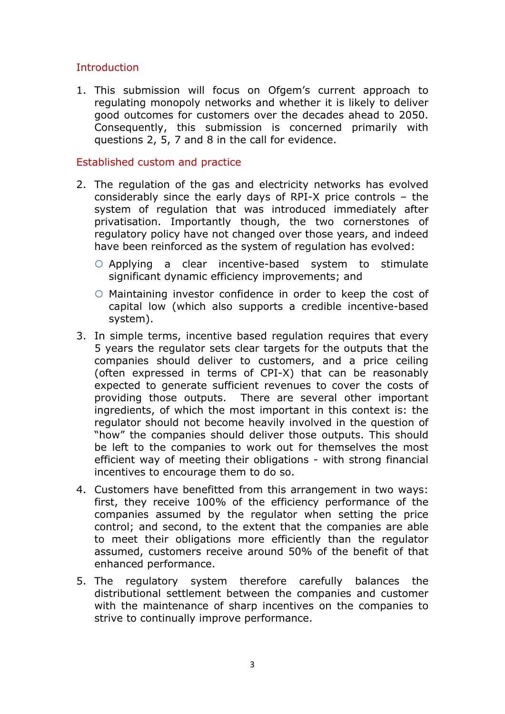# **Introduction**

1. This submission will focus on Ofgem's current approach to regulating monopoly networks and whether it is likely to deliver good outcomes for customers over the decades ahead to 2050. Consequently, this submission is concerned primarily with questions 2,  $\overline{5}$ , 7 and 8 in the call for evidence.

## Established custom and practice

- 2. The regulation of the gas and electricity networks has evolved considerably since the early days of RPI-X price controls – the system of regulation that was introduced immediately after privatisation. Importantly though, the two cornerstones of regulatory policy have not changed over those years, and indeed have been reinforced as the system of regulation has evolved:
	- Applying a clear incentive-based system to stimulate significant dynamic efficiency improvements; and
	- Maintaining investor confidence in order to keep the cost of capital low (which also supports a credible incentive-based system).
- 3. In simple terms, incentive based regulation requires that every 5 years the regulator sets clear targets for the outputs that the companies should deliver to customers, and a price ceiling (often expressed in terms of CPI-X) that can be reasonably expected to generate sufficient revenues to cover the costs of providing those outputs. There are several other important ingredients, of which the most important in this context is: the regulator should not become heavily involved in the question of "how" the companies should deliver those outputs. This should be left to the companies to work out for themselves the most efficient way of meeting their obligations - with strong financial incentives to encourage them to do so.
- 4. Customers have benefitted from this arrangement in two ways: first, they receive 100% of the efficiency performance of the companies assumed by the regulator when setting the price control; and second, to the extent that the companies are able to meet their obligations more efficiently than the regulator assumed, customers receive around 50% of the benefit of that enhanced performance.
- 5. The regulatory system therefore carefully balances the distributional settlement between the companies and customer with the maintenance of sharp incentives on the companies to strive to continually improve performance.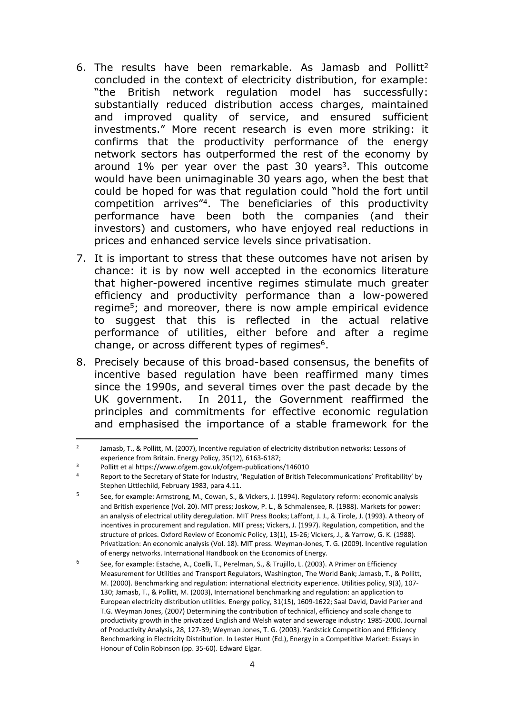- 6. The results have been remarkable. As Jamasb and Pollitt<sup>2</sup> concluded in the context of electricity distribution, for example: "the British network regulation model has successfully: substantially reduced distribution access charges, maintained and improved quality of service, and ensured sufficient investments." More recent research is even more striking: it confirms that the productivity performance of the energy network sectors has outperformed the rest of the economy by around  $1\%$  per year over the past 30 years<sup>3</sup>. This outcome would have been unimaginable 30 years ago, when the best that could be hoped for was that regulation could "hold the fort until competition arrives"<sup>4</sup>. The beneficiaries of this productivity performance have been both the companies (and their investors) and customers, who have enjoyed real reductions in prices and enhanced service levels since privatisation.
- 7. It is important to stress that these outcomes have not arisen by chance: it is by now well accepted in the economics literature that higher-powered incentive regimes stimulate much greater efficiency and productivity performance than a low-powered regime<sup>5</sup>; and moreover, there is now ample empirical evidence to suggest that this is reflected in the actual relative performance of utilities, either before and after a regime change, or across different types of regimes<sup>6</sup>.
- 8. Precisely because of this broad-based consensus, the benefits of incentive based regulation have been reaffirmed many times since the 1990s, and several times over the past decade by the UK government. In 2011, the Government reaffirmed the principles and commitments for effective economic regulation and emphasised the importance of a stable framework for the

<sup>2</sup> Jamasb, T., & Pollitt, M. (2007), Incentive regulation of electricity distribution networks: Lessons of experience from Britain. Energy Policy, 35(12), 6163-6187;

<sup>3</sup> Pollitt et al https://www.ofgem.gov.uk/ofgem-publications/146010

<sup>4</sup> Report to the Secretary of State for Industry, 'Regulation of British Telecommunications' Profitability' by Stephen Littlechild, February 1983, para 4.11.

<sup>5</sup> See, for example: Armstrong, M., Cowan, S., & Vickers, J. (1994). Regulatory reform: economic analysis and British experience (Vol. 20). MIT press; Joskow, P. L., & Schmalensee, R. (1988). Markets for power: an analysis of electrical utility deregulation. MIT Press Books; Laffont, J. J., & Tirole, J. (1993). A theory of incentives in procurement and regulation. MIT press; Vickers, J. (1997). Regulation, competition, and the structure of prices. Oxford Review of Economic Policy, 13(1), 15-26; Vickers, J., & Yarrow, G. K. (1988). Privatization: An economic analysis (Vol. 18). MIT press. Weyman-Jones, T. G. (2009). Incentive regulation of energy networks. International Handbook on the Economics of Energy.

<sup>6</sup> See, for example: Estache, A., Coelli, T., Perelman, S., & Trujillo, L. (2003). A Primer on Efficiency Measurement for Utilities and Transport Regulators, Washington, The World Bank; Jamasb, T., & Pollitt, M. (2000). Benchmarking and regulation: international electricity experience. Utilities policy, 9(3), 107- 130; Jamasb, T., & Pollitt, M. (2003), International benchmarking and regulation: an application to European electricity distribution utilities. Energy policy, 31(15), 1609-1622; Saal David, David Parker and T.G. Weyman Jones, (2007) Determining the contribution of technical, efficiency and scale change to productivity growth in the privatized English and Welsh water and sewerage industry: 1985-2000. Journal of Productivity Analysis, 28, 127-39; Weyman Jones, T. G. (2003). Yardstick Competition and Efficiency Benchmarking in Electricity Distribution. In Lester Hunt (Ed.), Energy in a Competitive Market: Essays in Honour of Colin Robinson (pp. 35-60). Edward Elgar.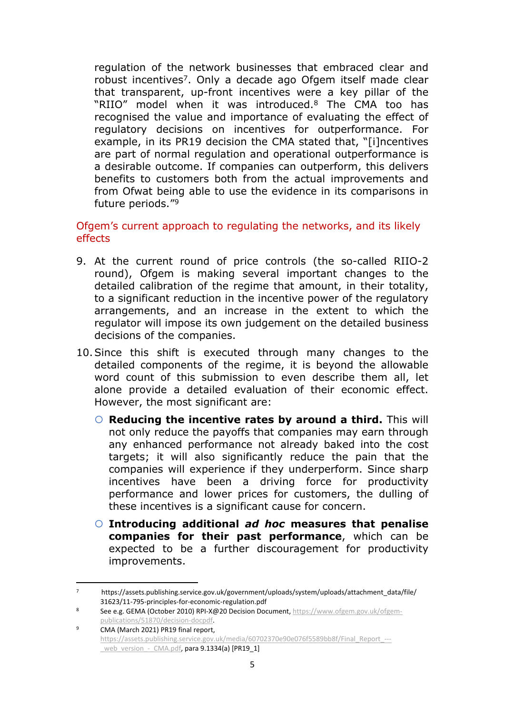regulation of the network businesses that embraced clear and robust incentives<sup>7</sup>. Only a decade ago Ofgem itself made clear that transparent, up-front incentives were a key pillar of the "RIIO" model when it was introduced.<sup>8</sup> The CMA too has recognised the value and importance of evaluating the effect of regulatory decisions on incentives for outperformance. For example, in its PR19 decision the CMA stated that, "[i]ncentives are part of normal regulation and operational outperformance is a desirable outcome. If companies can outperform, this delivers benefits to customers both from the actual improvements and from Ofwat being able to use the evidence in its comparisons in future periods."<sup>9</sup>

# Ofgem's current approach to regulating the networks, and its likely effects

- 9. At the current round of price controls (the so-called RIIO-2 round), Ofgem is making several important changes to the detailed calibration of the regime that amount, in their totality, to a significant reduction in the incentive power of the regulatory arrangements, and an increase in the extent to which the regulator will impose its own judgement on the detailed business decisions of the companies.
- 10.Since this shift is executed through many changes to the detailed components of the regime, it is beyond the allowable word count of this submission to even describe them all, let alone provide a detailed evaluation of their economic effect. However, the most significant are:
	- **Reducing the incentive rates by around a third.** This will not only reduce the payoffs that companies may earn through any enhanced performance not already baked into the cost targets; it will also significantly reduce the pain that the companies will experience if they underperform. Since sharp incentives have been a driving force for productivity performance and lower prices for customers, the dulling of these incentives is a significant cause for concern.
	- **Introducing additional** *ad hoc* **measures that penalise companies for their past performance**, which can be expected to be a further discouragement for productivity improvements.

<sup>7</sup> https://assets.publishing.service.gov.uk/government/uploads/system/uploads/attachment\_data/file/ 31623/11-795-principles-for-economic-regulation.pdf

<sup>8</sup> See e.g. GEMA (October 2010) RPI-X@20 Decision Document, [https://www.ofgem.gov.uk/ofgem](https://www.ofgem.gov.uk/ofgem-publications/51870/decision-docpdf)[publications/51870/decision-docpdf.](https://www.ofgem.gov.uk/ofgem-publications/51870/decision-docpdf)

<sup>9</sup> CMA (March 2021) PR19 final report, [https://assets.publishing.service.gov.uk/media/60702370e90e076f5589bb8f/Final\\_Report\\_--](https://assets.publishing.service.gov.uk/media/60702370e90e076f5589bb8f/Final_Report_---_web_version_-_CMA.pdf) web version - CMA.pdf, para 9.1334(a) [PR19\_1]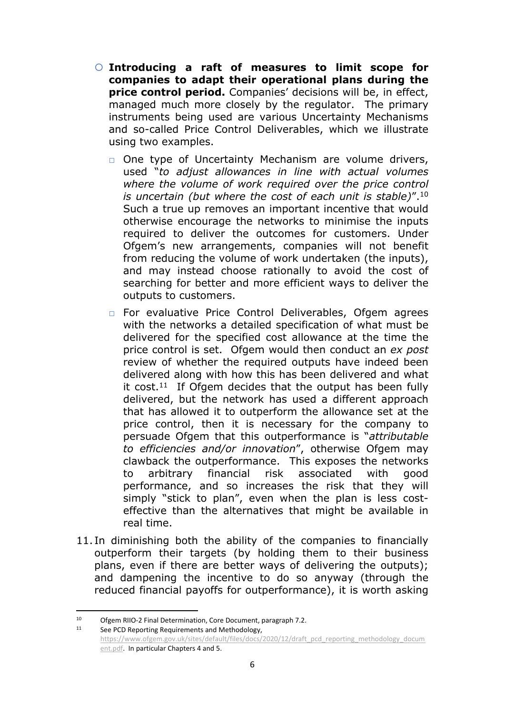- **Introducing a raft of measures to limit scope for companies to adapt their operational plans during the price control period.** Companies' decisions will be, in effect, managed much more closely by the regulator. The primary instruments being used are various Uncertainty Mechanisms and so-called Price Control Deliverables, which we illustrate using two examples.
	- □ One type of Uncertainty Mechanism are volume drivers, used "*to adjust allowances in line with actual volumes where the volume of work required over the price control is uncertain (but where the cost of each unit is stable)*".<sup>10</sup> Such a true up removes an important incentive that would otherwise encourage the networks to minimise the inputs required to deliver the outcomes for customers. Under Ofgem's new arrangements, companies will not benefit from reducing the volume of work undertaken (the inputs), and may instead choose rationally to avoid the cost of searching for better and more efficient ways to deliver the outputs to customers.
	- □ For evaluative Price Control Deliverables, Ofgem agrees with the networks a detailed specification of what must be delivered for the specified cost allowance at the time the price control is set. Ofgem would then conduct an *ex post* review of whether the required outputs have indeed been delivered along with how this has been delivered and what it cost.<sup>11</sup> If Ofgem decides that the output has been fully delivered, but the network has used a different approach that has allowed it to outperform the allowance set at the price control, then it is necessary for the company to persuade Ofgem that this outperformance is "*attributable to efficiencies and/or innovation*", otherwise Ofgem may clawback the outperformance. This exposes the networks to arbitrary financial risk associated with good performance, and so increases the risk that they will simply "stick to plan", even when the plan is less costeffective than the alternatives that might be available in real time.
- 11. In diminishing both the ability of the companies to financially outperform their targets (by holding them to their business plans, even if there are better ways of delivering the outputs); and dampening the incentive to do so anyway (through the reduced financial payoffs for outperformance), it is worth asking

<sup>10</sup> Ofgem RIIO-2 Final Determination, Core Document, paragraph 7.2.<br>11 See PCD Bonesting Boquirements and Methodology

See PCD Reporting Requirements and Methodology, [https://www.ofgem.gov.uk/sites/default/files/docs/2020/12/draft\\_pcd\\_reporting\\_methodology\\_docum](https://www.ofgem.gov.uk/sites/default/files/docs/2020/12/draft_pcd_reporting_methodology_document.pdf) [ent.pdf](https://www.ofgem.gov.uk/sites/default/files/docs/2020/12/draft_pcd_reporting_methodology_document.pdf). In particular Chapters 4 and 5.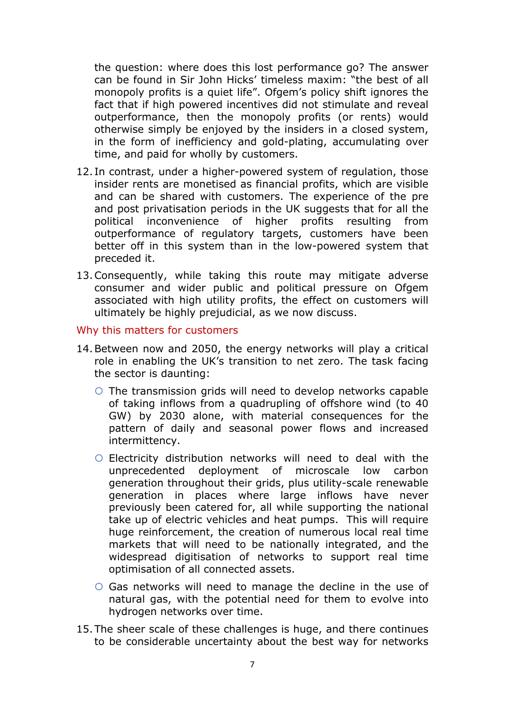the question: where does this lost performance go? The answer can be found in Sir John Hicks' timeless maxim: "the best of all monopoly profits is a quiet life". Ofgem's policy shift ignores the fact that if high powered incentives did not stimulate and reveal outperformance, then the monopoly profits (or rents) would otherwise simply be enjoyed by the insiders in a closed system, in the form of inefficiency and gold-plating, accumulating over time, and paid for wholly by customers.

- 12. In contrast, under a higher-powered system of regulation, those insider rents are monetised as financial profits, which are visible and can be shared with customers. The experience of the pre and post privatisation periods in the UK suggests that for all the political inconvenience of higher profits resulting from outperformance of regulatory targets, customers have been better off in this system than in the low-powered system that preceded it.
- 13.Consequently, while taking this route may mitigate adverse consumer and wider public and political pressure on Ofgem associated with high utility profits, the effect on customers will ultimately be highly prejudicial, as we now discuss.

#### Why this matters for customers

- 14.Between now and 2050, the energy networks will play a critical role in enabling the UK's transition to net zero. The task facing the sector is daunting:
	- $\circ$  The transmission grids will need to develop networks capable of taking inflows from a quadrupling of offshore wind (to 40 GW) by 2030 alone, with material consequences for the pattern of daily and seasonal power flows and increased intermittency.
	- $\circ$  Electricity distribution networks will need to deal with the unprecedented deployment of microscale low carbon generation throughout their grids, plus utility-scale renewable generation in places where large inflows have never previously been catered for, all while supporting the national take up of electric vehicles and heat pumps. This will require huge reinforcement, the creation of numerous local real time markets that will need to be nationally integrated, and the widespread digitisation of networks to support real time optimisation of all connected assets.
	- Gas networks will need to manage the decline in the use of natural gas, with the potential need for them to evolve into hydrogen networks over time.
- 15.The sheer scale of these challenges is huge, and there continues to be considerable uncertainty about the best way for networks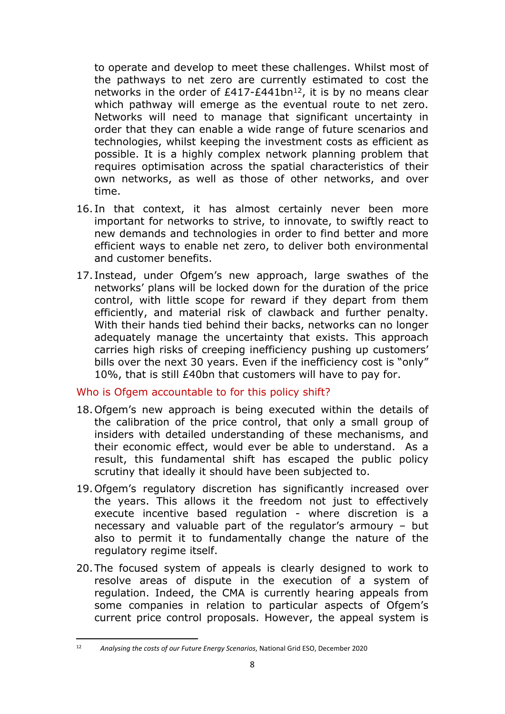to operate and develop to meet these challenges. Whilst most of the pathways to net zero are currently estimated to cost the networks in the order of  $£417-E441bn^{12}$ , it is by no means clear which pathway will emerge as the eventual route to net zero. Networks will need to manage that significant uncertainty in order that they can enable a wide range of future scenarios and technologies, whilst keeping the investment costs as efficient as possible. It is a highly complex network planning problem that requires optimisation across the spatial characteristics of their own networks, as well as those of other networks, and over time.

- 16. In that context, it has almost certainly never been more important for networks to strive, to innovate, to swiftly react to new demands and technologies in order to find better and more efficient ways to enable net zero, to deliver both environmental and customer benefits.
- 17. Instead, under Ofgem's new approach, large swathes of the networks' plans will be locked down for the duration of the price control, with little scope for reward if they depart from them efficiently, and material risk of clawback and further penalty. With their hands tied behind their backs, networks can no longer adequately manage the uncertainty that exists. This approach carries high risks of creeping inefficiency pushing up customers' bills over the next 30 years. Even if the inefficiency cost is "only" 10%, that is still £40bn that customers will have to pay for.

## Who is Ofgem accountable to for this policy shift?

- 18.Ofgem's new approach is being executed within the details of the calibration of the price control, that only a small group of insiders with detailed understanding of these mechanisms, and their economic effect, would ever be able to understand. As a result, this fundamental shift has escaped the public policy scrutiny that ideally it should have been subjected to.
- 19.Ofgem's regulatory discretion has significantly increased over the years. This allows it the freedom not just to effectively execute incentive based regulation - where discretion is a necessary and valuable part of the regulator's armoury – but also to permit it to fundamentally change the nature of the regulatory regime itself.
- 20.The focused system of appeals is clearly designed to work to resolve areas of dispute in the execution of a system of regulation. Indeed, the CMA is currently hearing appeals from some companies in relation to particular aspects of Ofgem's current price control proposals. However, the appeal system is

<sup>12</sup> *Analysing the costs of our Future Energy Scenarios*, National Grid ESO, December 2020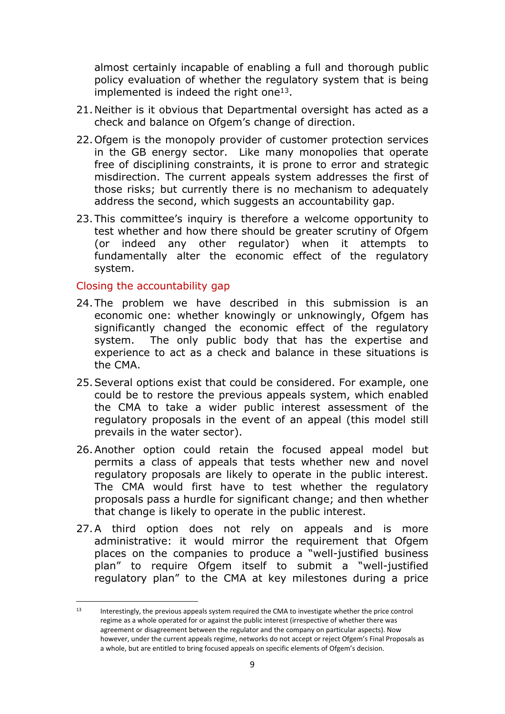almost certainly incapable of enabling a full and thorough public policy evaluation of whether the regulatory system that is being implemented is indeed the right one $13$ .

- 21.Neither is it obvious that Departmental oversight has acted as a check and balance on Ofgem's change of direction.
- 22.Ofgem is the monopoly provider of customer protection services in the GB energy sector. Like many monopolies that operate free of disciplining constraints, it is prone to error and strategic misdirection. The current appeals system addresses the first of those risks; but currently there is no mechanism to adequately address the second, which suggests an accountability gap.
- 23.This committee's inquiry is therefore a welcome opportunity to test whether and how there should be greater scrutiny of Ofgem (or indeed any other regulator) when it attempts to fundamentally alter the economic effect of the regulatory system.

### Closing the accountability gap

- 24.The problem we have described in this submission is an economic one: whether knowingly or unknowingly, Ofgem has significantly changed the economic effect of the regulatory system. The only public body that has the expertise and experience to act as a check and balance in these situations is the CMA.
- 25.Several options exist that could be considered. For example, one could be to restore the previous appeals system, which enabled the CMA to take a wider public interest assessment of the regulatory proposals in the event of an appeal (this model still prevails in the water sector).
- 26.Another option could retain the focused appeal model but permits a class of appeals that tests whether new and novel regulatory proposals are likely to operate in the public interest. The CMA would first have to test whether the regulatory proposals pass a hurdle for significant change; and then whether that change is likely to operate in the public interest.
- 27.A third option does not rely on appeals and is more administrative: it would mirror the requirement that Ofgem places on the companies to produce a "well-justified business plan" to require Ofgem itself to submit a "well-justified regulatory plan" to the CMA at key milestones during a price

<sup>13</sup> Interestingly, the previous appeals system required the CMA to investigate whether the price control regime as a whole operated for or against the public interest (irrespective of whether there was agreement or disagreement between the regulator and the company on particular aspects). Now however, under the current appeals regime, networks do not accept or reject Ofgem's Final Proposals as a whole, but are entitled to bring focused appeals on specific elements of Ofgem's decision.